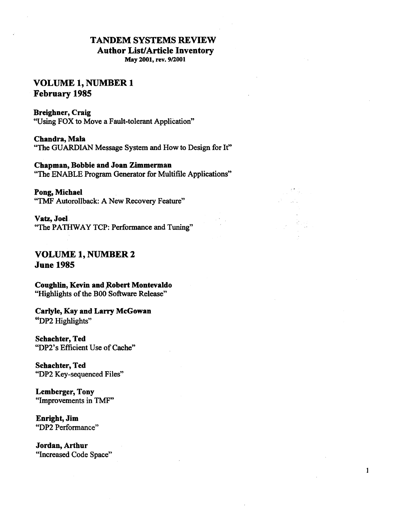# **TANDEM SYSTEMS REVIEW**

**Author List/ Article Inventory** 

**May 2001, rev. 9/2001** 

# **VOLUME 1, NUMBER 1 February 1985**

### **Breighner, Craig**

"Using FOX to Move a Fault-tolerant Application"

**Chandra, Mala**  "The GUARDIAN Message System and How to Design for It"

**Chapman, Bobbie and Joan Zimmerman**  "The ENABLE Program Generator for Multifile Applications"

 $\mathbf{1}$ 

**Pong, Michael**  "TMF Autorollback: A New Recovery Feature"

**Vatz, Joel**  "The PATHWAY TCP: Performance and Tuning"

# **VOLUME 1, NUMBER 2 June 1985**

**Coughlin, Kevin and Robert Montevaldo** "Highlights of the BOO Software Release"

**Carlyle, Kay and Larry McGowan**  "DP2 Highlights"

**Schachter, Ted**  "DP2's Efficient Use of Cache"

**Schachter, Ted**  "DP2 Key-sequenced Files"

**Lemberger, Tony**  "Improvements in TMF"

**Enright, Jim**  "DP2 Performance"

**Jordan, Arthur**  "Increased Code Space"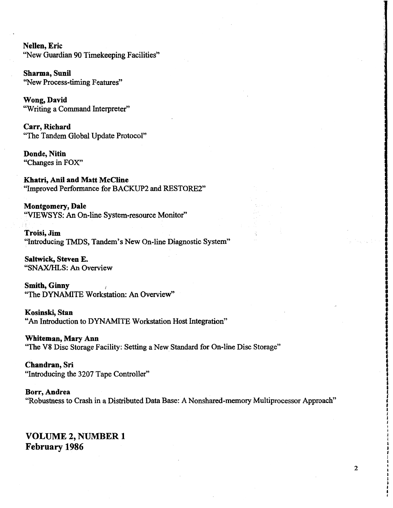**N ellen, Eric**  ''New Guardian 90 Timekeeping Facilities"

**Sharma, Sunil**  "New Process-timing Features"

**Wong,David**  "Writing a Command Interpreter"

**Carr, Richard**  "The Tandem Global Update Protocol"

**Donde, Nitin**  "Changes in FOX"

**Khatri, Anil and Matt McCline**  "Improved Performance for BACKUP2 and RESTORE2"

**Montgomery, Dale**  "VIEWSYS: An On-line System-resource Monitor"

**Troisi,Jim**  "Introducing TMDS, Tandem's New On-line Diagnostic System"

**Saltwick, Steven E.**  "SNAX/HLS: An Overview

**Smith, Ginny**  "The DYNAMITE Workstation: An Overview"

**Kosinski, Stan**  "An Introduction to DYNAMITE Workstation Host Integration"

**Whiteman, Mary Ann**  "The V8 Disc Storage Facility: Setting a New Standard for On-line Disc Storage"

**Chandran, Sri**  "Introducing the 3207 Tape Controller"

**Borr, Andrea**  "Robustness to Crash in a Distributed Data Base: A Nonshared-memory Multiprocessor Approach"

**VOLUME 2, NUMBER 1 February 1986** 

IANG BARA

ISSISTERIN

i<br>i<br>i

in shammar<br>I **t**  f ' **f**  t I I J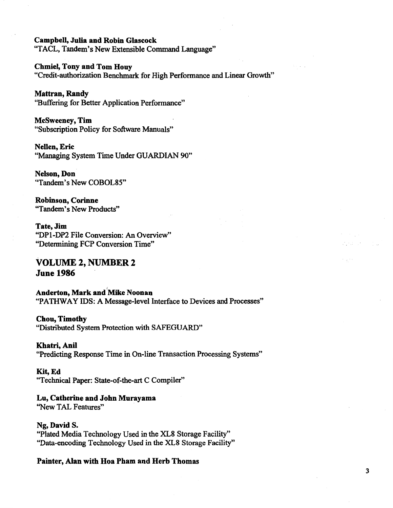### **Campbell, Julia and Robin Glascock**

"TACL, Tandem's New Extensible Command Language"

#### **Chmiel, Tony and Tom Houy**

"Credit-authorization Benchmark for High Performance and Linear Growth"

### **Mattran, Randy**

"Buffering for Better Application Performance"

### **Mcsweeney, Tim**  "Subscription Policy for Software Manuals"

**N ellen, Eric**  "Managing System Time Under GUARDIAN 90"

**Nelson,Don**  "Tandem's New COBOL85"

**Robinson, Corinne**  "Tandem's New Products"

# **Tate,Jim**

"DP1-DP2 File Conversion: An Overview" "Determining FCP Conversion Time"

# **VOLUME 2, NUMBER 2 June 1986**

**Anderton, Mark and'Mike Noonan**  "PATHWAY IDS: A Message-level Interface to Devices and Processes"

### **Chou, Timothy**

"Distributed System Protection with SAFEGUARD"

### **Khatri,Anil**

"Predicting Response Time in On-line Transaction Processing Systems"

### **Kit,Ed**

"Technical Paper: State-of-the-art C Compiler"

### **Lu, Catherine and John Murayama**

''New TAL Features"

### **Ng, David S.**

"Plated Media Technology Used in the XL8 Storage Facility" "Data-encoding Technology Used in the XLS Storage Facility"

### **Painter, Alan with Hoa Pham and Herb Thomas**

3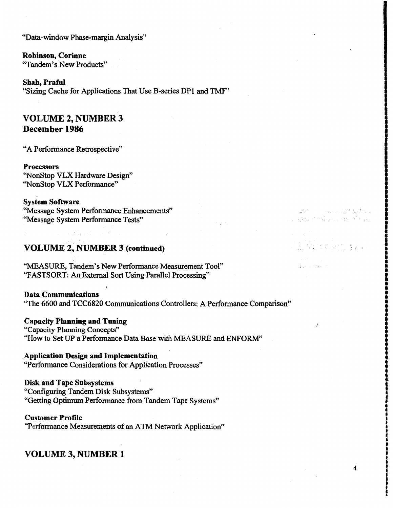"Data-window Phase-margin Analysis"

**Robinson, Corinne**  "Tandem's New Products"

**Shah, Praful**  "Sizing Cache for Applications That Use B-series DPl and TMF"

# **VOLUME 2, NUMBER 3 December 1986**

"A Performance Retrospective"

**Processors**  ''Nonstop VLX Hardware Design" ''Nonstop VLX Performance"

**System Software**  "Message System Performance Enhancements" "Message System Performance Tests"

### **VOLUME 2, NUMBER 3 (continued)**

"MEASURE, Tandem's New Performance Measurement Tool" "FASTSORT: An External Sort Using Parallel Processing"

**Data Communications**  "The 6600 and TCC6820 Communications Controllers: A Performance Comparison"

**Capacity Planning and Tuning**  "Capacity Planning Concepts" "How to Set UP a Performance Data Base with MEASURE and ENFORM"

### **Application Design and Implementation**

"Performance Considerations for Application Processes"

**Disk and Tape Subsystems**  "Configuring Tandem Disk Subsystems" "Getting Optimum Performance from Tandem Tape Systems"

**Customer Profile** 

"Performance Measurements of an ATM Network Application"

## **VOLUME 3, NUMBER 1**

4

ICOMPRESS

I į.

and the second with the first Entraîn Rand and Company

ਿਸ਼ਾ ਦਾ

i<br>Indian i<br>I I<br>I

: • •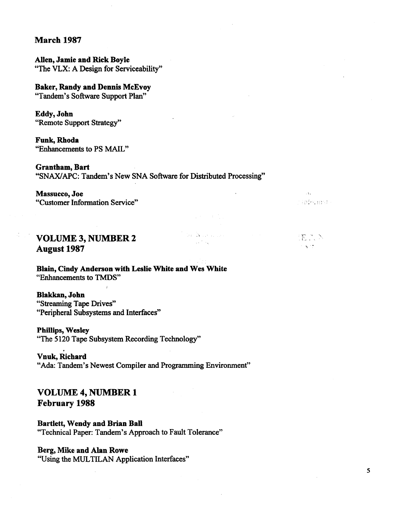## **March 1987**

**Allen, Jamie and Rick Boyle**  "The VLX: A Design for Serviceability"

## **Baker, Randy and Dennis McEvoy**

"Tandem's Software Support Plan"

**Eddy,John**  "Remote Support Strategy"

**Funk,Rhoda** 

"Enhancements to PS MAIL"

## **Grantham, Bart**

"SNAX/APC: Tandem's New SNA Software for Distributed Processing"

### **Massucco, Joe**

"Customer Information Service"

 $\bar{\mathcal{A}}$  . r informat

IEN N

 $\sim 300$ 

#### **San Andrew Corp. VOLUME 3, NUMBER 2**   $\sim 10^{-4}$  meV **August 1987**

**Blain, Cindy Anderson with Leslie White and Wes White**  "Enhancements to TMDS"

### **Blakkan, John**

"Streaming Tape Drives" "Peripheral Subsystems and Interfaces"

**Phillips, Wesley** 

"The 5120 Tape Subsystem Recording Technology"

## . **Vnuk, Richard**

"Ada: Tandem's Newest Compiler and Programming Environment"

# **VOLUME 4, NUMBER 1 February 1988**

**Bartlett, Wendy and Brian Ball**  "Technical Paper: Tandem's Approach to Fault Tolerance"

## **Berg, Mike and Alan Rowe**

"Using the MUL TILAN Application Interfaces"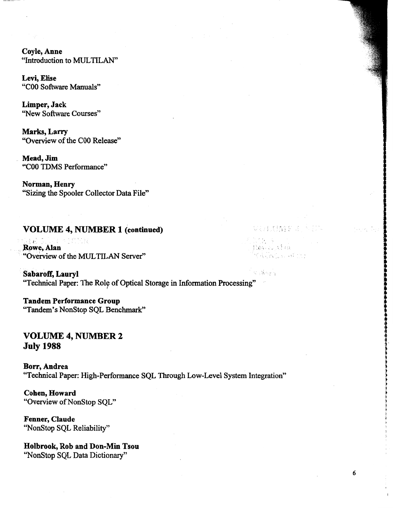**Coyle,Anne**  "Introduction to MUL TILAN"

**Levi, Elise**  "COO Software Manuals"

**Limper, Jack**  ''New Software Courses"

**Marks, Larry**  "Overview of the COO Release"

**Mead,Jim**  "COO TOMS Performance"

**Norman, Henry**  "Sizing the Spooler Collector Data File"

## **VOLUME 4, NUMBER 1 (continued)**

 $\frac{1}{2}$  ,  $\frac{1}{2}$  ,  $\frac{1}{2}$ **Rowe, Alan** "Overview of the MUL TILAN Server"

s Angly **Sabaroff, Lauryl**  "Technical Paper: The Role of Optical Storage in Information Processing" ;

**Tandem Performance Group**  "Tandem's Nonstop SQL Benchmark"

# **VOLUME 4, NUMBER 2 July 1988**

**Borr, Andrea**  "Technical Paper: High-Performance SQL Through Low-Level System Integration"

6

VEACHER ST

Don an stau Génta Ro

**Cohen, Howard**  "Overview of Nonstop SQL"

**Fenner, Claude**  "Nonstop SQL Reliability"

**Holbrook, Rob and Don-Min Tsou**  "Nonstop SQL Data Dictionary"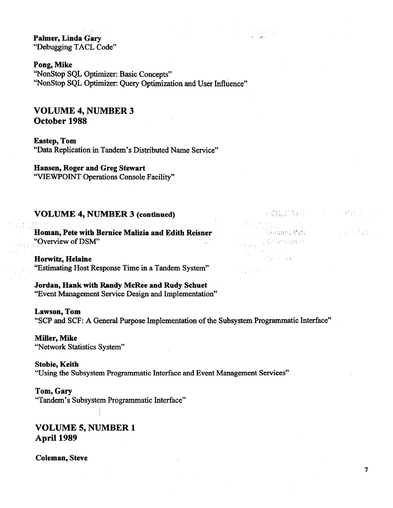**Palmer, Linda Gary**  "Debugging TACL Code"

Pong, Mike

"Nonstop SQL Optimizer: Basic Concepts" "NonStop SQL Optimizer: Query Optimization and User Influence"

# **VOLUME 4, NUMBER 3 October 1988**

**Eastep, Tom**  "Data Replication in Tandem's Distributed Name Service"

# **Hansen, Roger and Greg Stewart**

"VIEWPOINT Operations Console Facility"

## **VOLUME 4, NUMBER 3 (continued)**

**lloman, Pete with Bernice Malizia and Edith Reisner**  "Overview of DSM"

**Horwitz, Helaine**  "Estimating Host Response Time in a Tandem System"

**Jordan, Hank with Randy McRee and Rudy Schuet**  "Event Management Service Design and Implementation"

**Lawson, Tom**  "SCP and SCF: A General Purpose Implementation of the Subsystem Programmatic Interface"

**Miller, Mike**  "Network Statistics System"

**Stobie, Keith**  "Using the Subsystem Programmatic Interface and Event Management Services"

### **Tom, Gary**

"Tandem's Subsystem Programmatic Interface"

# **VOLUME 5, NUMBER 1 April 1989**

**Coleman, Steve** 

**《《詩語》等**》, 《音》, 《杨光诗》

a wake a

is 2 Bul

Glomme, Pete JARONDO A

in<br>Statistika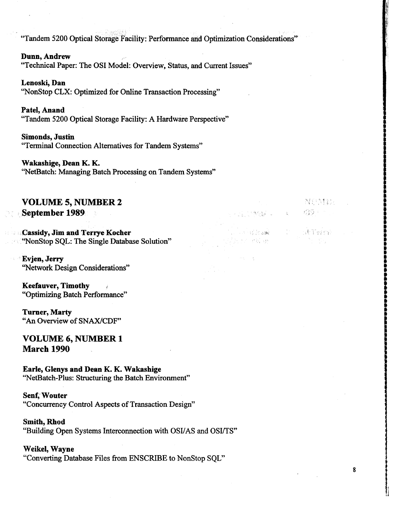"Tandem 5200 Optical Storage Facility: Performance and Optimization Considerations"

**Dunn, Andrew**  "Technical Paper: The OSI Model: Overview, Status, and Current Issues"

**Lenoski, Dan**  "NonStop CLX: Optimized for Online Transaction Processing"

**Patel, Anand**  "Tandem 5200 Optical Storage Facility: A Hardware Perspective"

**Simonds, Justin**  "Terminal Connection Alternatives for Tandem Systems"

**Wakashige, Dean K. K.**  ''NetBatch: Managing Batch Processing on Tandem Systems"

# **VOLUME 5, NUMBER 2 September 1989**

**,,Cassidy, Jim and Terrye Kocher**  . ''NonStop SQL: The Single Database Solution"

**Evjen, Jerry**  ''Network Design Considerations"

**Keefauver, Timothy**  "Optimizing Batch Performance"

**Turner, Marty**  "An Overview of SNAX/CDF"

**VOLUME 6, NUMBER 1 March 1990** 

**Earle, Glenys and Dean K. K. Wakashige**  "NetBatch-Plus: Structuring the Batch Environment"

**Senf,' Wouter**  "Concurrency Control Aspects of Transaction Design"

**Smith, Rhod** "Building Open Systems Interconnection with OSI/AS and OSI/TS"

8

i<br>B

NESS:

游客: 2011

Ne Tessa

**STARTING CONTROL** 

**SECTION** 

I • i

ISSO ASSOS

**Weikel, Wayne**  "Converting Database Files from ENSCRIBE to NonStop SQL"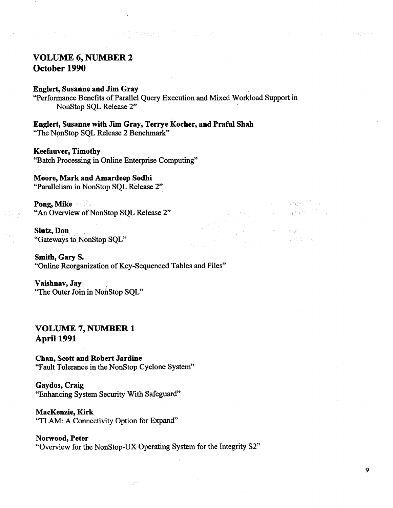# **VOLUME 6, NUMBER 2 October 1990**

## **Englert, Susanne and Jim Gray**

"Performance Benefits of Parallel Query Execution and Mixed Workload Support in Nonstop SQL Release 2"

大統治 めんどく いうしょういん

**Englert, Susanne with Jim Gray, Terrye Kocher, and Praful Shah**  "The NonStop SQL Release 2 Benchmark"

### **Keefauver, Timothy**

"Batch Processing in Online Enterprise Computing"

## **Moore, Mark and Amardeep Sodhi**

"Parallelism in NonStop SQL Release 2"

**Pong, Mike <b>• 6** "An Overview of NonStop SQL Release 2"

**Slutz, Don** . "Gateways to NonStop SQL"

**Smith, Gary S.**  "Online Reorganization of Key-Sequenced Tables and Files"

**Vaishnav, Jay** . "The Outer Join in NonStop SQL"

## **VOLUME 7, NUMBER 1 April 1991**

**Chan, Scott and Robert Jardine**  "Fault Tolerance in the NonStop Cyclone System"

## **Gaydos, Craig**  "Enhancing System Security With Safeguard"

**MacKenzie, Kirk**  "TLAM: A Connectivity Option for Expand"

## **Norwood, Peter**  "Overview for the NonStop-UX Operating System for the Integrity S2"

그 동생이 아이를  $\label{eq:3.1} \mathbb{E}\left\{ \left\{ \mathbf{X}^{*}\right\} ,\mathbf{X}^{*}\right\} \leq \mathbb{E}\left\{ \mathbf{X}^{*}\right\}$ 

> 주말하는 것이 **ARK**

 $\sim 10^{-1}$  for

M.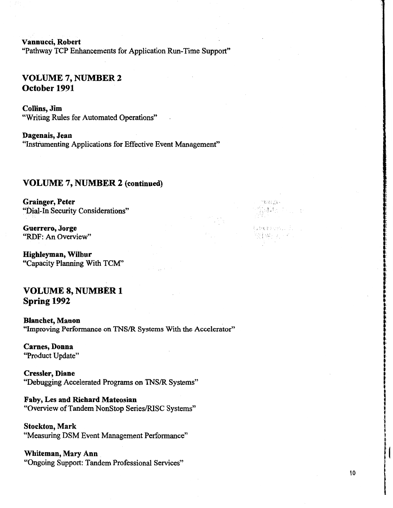**Vannucci, Robert**  "Pathway TCP Enhancements for Application Run-Time Support"

# **VOLUME7,NUMBER2 October 1991**

**Collins, Jim**  "Writing Rules for Automated Operations"

**Dagenais, Jean**  "Instrumenting Applications for Effective Event Management"

## **VOLUME** 7, **NUMBER 2 (continued)**

**Grainger, Peter**  "Dial-In Security Considerations"

**Guerrero, Jorge**  "RDF: An Overview"

**Highleyman, Wilbur**  "Capacity Planning With TCM"

# **VOLUME 8, NUMBER 1 Spring 1992**

**Blanchet, Manon**  "Improving Performance on TNS/R Systems With the Accelerator"

**Carnes, Donna**  "Product Update"

**Cressler, Diane**  "Debugging Accelerated Programs on TNS/R Systems"

**Faby, Les and Richard Mateosian**  "Overview of Tandem Nonstop Series/RISC Systems"

**Stockton, Mark**  "Measuring DSM Event Management Performance"

**Whiteman, Mary Ann**  "Ongoing Support: Tandem Professional Services"

i **t: 1;**  i<br>I

maasin -

General. "刘宪子子"

42% (2000) a

**t** • i

**Index of the contract of the contract of the contract of the contract of the contract of the contract of the c** 

i<br>I

t, !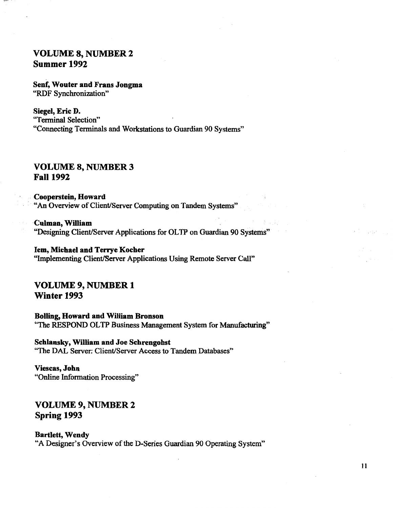# **VOLUME 8, NUMBER 2 Summer 1992**

**Senf, Wouter and Frans Jongma**  "RDF Synchronization"

**Siegel, Eric D.**  "Terminal Selection" "Connecting Terminals and Workstations to Guardian 90 Systems"

# **VOLUME 8, NUMBER 3 Fall 1992**

. **Cooperstein, Howard**  "An Overview of Client/Server Computing on Tandem Systems"

· **Culman, William**  "Designing Client/Server Applications for OL TP on Guardian 90 Systems"

**lem, Michael and Terrye Kocher**  "Implementing Client/Server Applications Using Remote Server Call"

**VOLUME 9, NUMBER 1 Winter 1993** 

**Bolling, Howard and William Bronson**  "The RESPOND OLTP Business Management System for Manufacturing"

**Schlansky, William and Joe Schrengohst**  "The DAL Server: Client/Server Access to Tandem Databases"

**Viescas, John**  "Online Information Processing"

**VOLUME 9, NUMBER 2 Spring 1993** 

### **Bartlett, Wendy**

"A Designer's Overview of the D-Series Guardian 90 Operating System"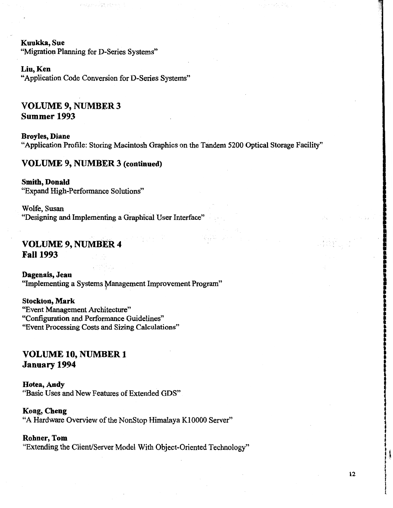**Kuukka,Sue** 

"Migration Planning for D-Series Systems"

的复数人名英格兰姓氏

### **Liu,Ken**

"Application Code Conversion for D-Series Systems"

# **VOLUME 9, NUMBER 3 Summer 1993**

**Broyles, Diane**  "Application Profile: Storing Macintosh Graphics on the Tandem 5200 Optical Storage Facility"

승규 두

### **VOLUME 9, NUMBER 3 (continued)**

**Smith, Donald**  "Expand High-Performance Solutions"

Wolfe, Susan "Designing and Implementing a Graphical User Interface"

# **VOLUME 9, NUMBER 4 Fall 1993**

**Dagenais, Jean**  "Implementing a Systems Management Improvement Program"

## **Stockton, Mark**  "Event Management Architecture" "Configuration and Performance Guidelines" "Event Processing Costs and Sizing Calculations"

# **VOLUME 10, NUMBER 1 January 1994**

### **Hotea,Andy**

"Basic Uses and New Features of Extended ODS"

### **Kong, Cheng**

"A Hardware Overview of the Nonstop Himalaya KIOOOO Server"

### **Rohner, Tom**

"Extending the Client/Server Model With Object-Oriented Technology"